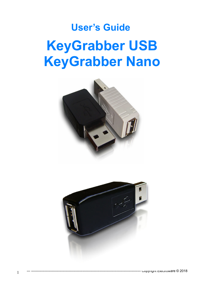# **User's Guide KeyGrabber USB KeyGrabber Nano**



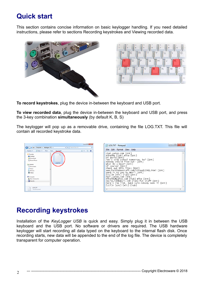### **Quick start**

This section contains concise information on basic keylogger handling. If you need detailed instructions, please refer to sections Recording keystrokes and Viewing recorded data.





**To record keystrokes**, plug the device in-between the keyboard and USB port.

**To view recorded data**, plug the device in-between the keyboard and USB port, and press the 3-key combination **simultaneously** (by default K, B, S)

The keylogger will pop up as a removable drive, containing the file LOG.TXT. This file will contain all recorded keystroke data.



## **Recording keystrokes**

Installation of the *KeyLogger USB* is quick and easy. Simply plug it in between the USB keyboard and the USB port. No software or drivers are required. The USB hardware keylogger will start recording all data typed on the keyboard to the internal flash disk. Once recording starts, new data will be appended to the end of the log file. The device is completely transparent for computer operation.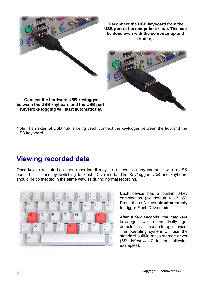

Note: If an external USB hub is being used, connect the keylogger between the hub and the USB keyboard.

## **Viewing recorded data**

Once keystroke data has been recorded, it may be retrieved on any computer with a USB port. This is done by switching to Flash Drive mode. The *KeyLogger USB* and keyboard should be connected in the same way, as during normal recording.



Each device has a built-in 3-key combination (by default K, B, S). Press these 3 keys **simultaneously** to trigger Flash Drive mode.

After a few seconds, the hardware keylogger will automatically get detected as a mass storage device. The operating system will use the standard built-in mass storage driver (*MS Windows 7* in the following examples).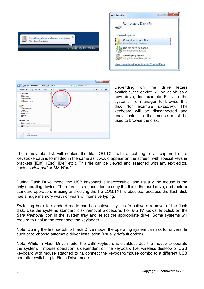



Depending on the drive letters available, the device will be visible as a new drive, for example F:. Use the systems file manager to browse this disk (for example *Explorer*). The keyboard will be disconnected and unavailable, so the mouse must be used to browse the disk.

The removable disk will contain the file LOG.TXT with a text log of all captured data. Keystroke data is formatted in the same as it would appear on the screen, with special keys in brackets ([Ent], [Esc], [Del] etc.). This file can be viewed and searched with any text editor, such as *Notepad* or *MS Word*.

During Flash Drive mode, the USB keyboard is inaccessible, and usually the mouse is the only operating device. Therefore it is a good idea to copy the file to the hard drive, and restore standard operation. Erasing and editing the file LOG.TXT is obsolete, because the flash disk has a huge memory worth of years of intensive typing.

Switching back to standard mode can be achieved by a safe software removal of the flash disk. Use the systems standard disk removal procedure. For *MS Windows*, left-click on the *Safe Removal* icon in the system tray and select the appropriate drive. Some systems will require to unplug the reconnect the keylogger.

Note: During the first switch to Flash Drive mode, the operating system can ask for drivers. In such case choose automatic driver installation (usually default option).

Note: While in Flash Drive mode, the USB keyboard is disabled. Use the mouse to operate the system. If mouse operation is dependent on the keyboard (i.e. wireless desktop or USB keyboard with mouse attached to it), connect the keyboard/mouse combo to a different USB port after switching to Flash Drive mode.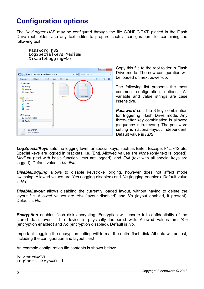# **Configuration options**

The *KeyLogger USB* may be configured through the file CONFIG.TXT, placed in the Flash Drive root folder. Use any text editor to prepare such a configuration file, containing the following text:

Password=KBS LogSpecialKeys=Medium DisableLogging=No



Copy this file to the root folder in Flash Drive mode. The new configuration will be loaded on next power-up.

The following list presents the most common configuration options. All variable and value strings are case insensitive.

**Password** sets the 3-key combination for triggering Flash Drive mode. Any three-letter key combination is allowed (sequence is irrelevant). The password setting is national-layout independent. Default value is *KBS*.

*LogSpecialKeys* sets the logging level for special keys, such as Enter, Escape, F1...F12 etc. Special keys are logged in brackets, i.e. [Ent]. Allowed values are *None* (only text is logged), *Medium* (text with basic function keys are logged), and *Full* (text with all special keys are logged). Default value is *Medium*.

**DisableLogging** allows to disable keystroke logging, however does not affect mode switching. Allowed values are *Yes* (logging disabled) and *No* (logging enabled). Default value is *No*.

**DisableLayout** allows disabling the currently loaded layout, without having to delete the layout file. Allowed values are *Yes* (layout disabled) and *No* (layout enabled, if present). Default is *No*.

**Encryption** enables flash disk encrypting. Encryption will ensure full confidentiality of the stored data, even if the device is physically tampered with. Allowed values are *Yes* (encryption enabled) and *No* (encryption disabled). Default is *No*.

Important: toggling the encryption setting will format the entire flash disk. All data will be lost, including the configuration and layout files!

An example configuration file contents is shown below:

Password=SVL LogSpecialKeys=Full

--- ------------------------------------------------------------------------------------------------ Copyright Electroware © 2018 5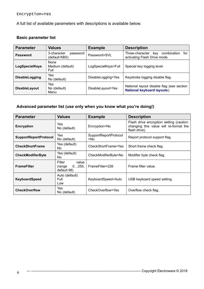### Encryption=Yes

A full list of available parameters with descriptions is available below.

### **Basic parameter list**

| <b>Parameter</b>      | <b>Values</b>                            | <b>Example</b>      | <b>Description</b>                                                           |
|-----------------------|------------------------------------------|---------------------|------------------------------------------------------------------------------|
| Password              | 3-character<br>password<br>(default KBS) | Password=SVL        | combination<br>Three-character<br>for<br>kev<br>activating Flash Drive mode. |
| <b>LogSpecialKeys</b> | <b>None</b><br>Medium (default)<br>Full  | LogSpecialKeys=Full | Special key logging level.                                                   |
| <b>DisableLogging</b> | Yes<br>No (default)                      | DisableLogging=Yes  | Keystroke logging disable flag.                                              |
| <b>DisableLayout</b>  | Yes<br>No (default)<br>Menu              | DisableLayout=Yes   | National layout disable flag (see section<br>National keyboard layouts).     |

#### **Advanced parameter list (use only when you know what you're doing!)**

| <b>Parameter</b>             | <b>Values</b>                                     | <b>Example</b>                  | <b>Description</b>                                                                                  |
|------------------------------|---------------------------------------------------|---------------------------------|-----------------------------------------------------------------------------------------------------|
| <b>Encryption</b>            | Yes<br>No (default)                               | Encryption=No                   | Flash drive encryption setting (caution:<br>changing this value will re-format the<br>flash drive). |
| <b>SupportReportProtocol</b> | Yes<br>No (default)                               | SupportReportProtocol<br>$=$ No | Report protocol support flag.                                                                       |
| <b>CheckShortFrame</b>       | Yes (default)<br>No.                              | CheckShortFrame=Yes             | Short frame check flag.                                                                             |
| <b>CheckModifierByte</b>     | Yes (default)<br>No.                              | CheckModifierByte=No            | Modifier byte check flag.                                                                           |
| <b>FrameFilter</b>           | Filter<br>value<br>0255,<br>(range<br>default 98) | FrameFilter=226                 | Frame filter value.                                                                                 |
| <b>KeyboardSpeed</b>         | Auto (default)<br>Full<br>Low                     | KeyboardSpeed=Auto              | USB keyboard speed setting.                                                                         |
| <b>CheckOverflow</b>         | Yes<br>No (default)                               | CheckOverflow=Yes               | Overflow check flag.                                                                                |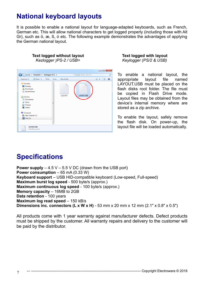### **National keyboard layouts**

It is possible to enable a national layout for language-adapted keyboards, such as French, German etc. This will allow national characters to get logged properly (including those with Alt Gr), such as ö, æ, ß, ó etc. The following example demonstrates the advantages of applying the German national layout.

**Text logged without layout Text logged with layout** *Kezlogger )PS-2 / USB= Keylogger (PS/2 & USB)*

|                                                                                                                                                                                           |               |            |                                               |                               |   | $\overline{\mathbf{x}}$ |
|-------------------------------------------------------------------------------------------------------------------------------------------------------------------------------------------|---------------|------------|-----------------------------------------------|-------------------------------|---|-------------------------|
| E > Computer > Keylogger (F:) >                                                                                                                                                           |               |            | Search Disk (F:)<br>$\mathbf{v}$ $\mathbf{v}$ |                               |   | م                       |
| Open +<br>Organize v                                                                                                                                                                      | Print<br>Burn | New folder |                                               | 릐<br>$\overline{\phantom{a}}$ | п | ⊛                       |
| <b>The Favorites</b><br>Desktop<br><b>Downloads</b><br><b>Recent Places</b><br>Libraries<br>Documents<br>Music<br>Pictures<br><b>H</b> Videos<br>Computer<br>New Volume (C:)<br>Disk (F:) | Ë             | LOG.TXT    | LAYOUT.USB                                    |                               |   |                         |
| LAYOUT.USB<br><b>Text Document</b>                                                                                                                                                        |               |            |                                               |                               |   |                         |

To enable a national layout, the appropriate layout file named LAYOUT.USB must be placed on the flash disks root folder. The file must be copied in Flash Drive mode. Layout files may be obtained from the device's internal memory where are stored as a zip archive.

To enable the layout, safely remove the flash disk. On power-up, the layout file will be loaded automatically.

# **Specifications**

**Power supply** – 4.5 V – 5.5 V DC (drawn from the USB port) **Power consumption** – 65 mA (0.33 W) **Keyboard support** – USB HID-compatible keyboard (Low-speed, Full-speed) **Maximum burst log speed** - 500 byte/s (approx.) **Maximum continuous log speed** - 100 byte/s (approx.) **Memory capacity** – 16MB to 2GB **Data retention** - 100 years **Maximum log read speed** – 150 kB/s **Dimensions inc. connectors (L x W x H)** - 53 mm x 20 mm x 12 mm (2.1" x 0.8" x 0.5")

All products come with 1 year warranty against manufacturer defects. Defect products must be shipped by the customer. All warranty repairs and delivery to the customer will be paid by the distributor.